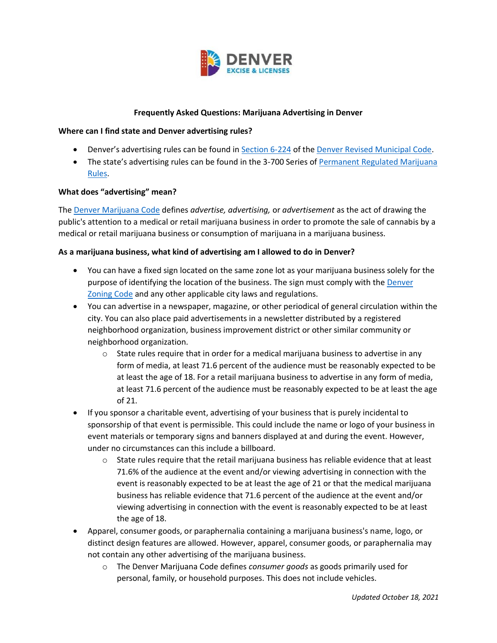

# **Frequently Asked Questions: Marijuana Advertising in Denver**

### **Where can I find state and Denver advertising rules?**

- Denver's advertising rules can be found in [Section 6-224](https://library.municode.com/co/denver/codes/code_of_ordinances?nodeId=TITIIREMUCO_CH6ALBECA_ARTVDEMACO_S6-224UNAC) of the [Denver Revised Municipal Code.](https://library.municode.com/co/denver/codes/code_of_ordinances?nodeId=TITIIREMUCO_CH6ALBECA_ARTVDEMACO)
- The state's advertising rules can be found in the 3-700 Series of Permanent Regulated Marijuana [Rules.](https://sbg.colorado.gov/med-rules)

### **What does "advertising" mean?**

The [Denver Marijuana Code](https://library.municode.com/co/denver/codes/code_of_ordinances?nodeId=TITIIREMUCO_CH6ALBECA_ARTVDEMACO) defines *advertise, advertising,* or *advertisement* as the act of drawing the public's attention to a medical or retail marijuana business in order to promote the sale of cannabis by a medical or retail marijuana business or consumption of marijuana in a marijuana business.

### **As a marijuana business, what kind of advertising am I allowed to do in Denver?**

- You can have a fixed sign located on the same zone lot as your marijuana business solely for the purpose of identifying the location of the business. The sign must comply with th[e Denver](https://www.denvergov.org/Government/Agencies-Departments-Offices/Community-Planning-and-Development/Denver-Zoning-Code)  [Zoning Code](https://www.denvergov.org/Government/Agencies-Departments-Offices/Community-Planning-and-Development/Denver-Zoning-Code) and any other applicable city laws and regulations.
- You can advertise in a newspaper, magazine, or other periodical of general circulation within the city. You can also place paid advertisements in a newsletter distributed by a registered neighborhood organization, business improvement district or other similar community or neighborhood organization.
	- $\circ$  State rules require that in order for a medical marijuana business to advertise in any form of media, at least 71.6 percent of the audience must be reasonably expected to be at least the age of 18. For a retail marijuana business to advertise in any form of media, at least 71.6 percent of the audience must be reasonably expected to be at least the age of 21.
- If you sponsor a charitable event, advertising of your business that is purely incidental to sponsorship of that event is permissible. This could include the name or logo of your business in event materials or temporary signs and banners displayed at and during the event. However, under no circumstances can this include a billboard.
	- $\circ$  State rules require that the retail marijuana business has reliable evidence that at least 71.6% of the audience at the event and/or viewing advertising in connection with the event is reasonably expected to be at least the age of 21 or that the medical marijuana business has reliable evidence that 71.6 percent of the audience at the event and/or viewing advertising in connection with the event is reasonably expected to be at least the age of 18.
- Apparel, consumer goods, or paraphernalia containing a marijuana business's name, logo, or distinct design features are allowed. However, apparel, consumer goods, or paraphernalia may not contain any other advertising of the marijuana business.
	- o The Denver Marijuana Code defines *consumer goods* as goods primarily used for personal, family, or household purposes. This does not include vehicles.